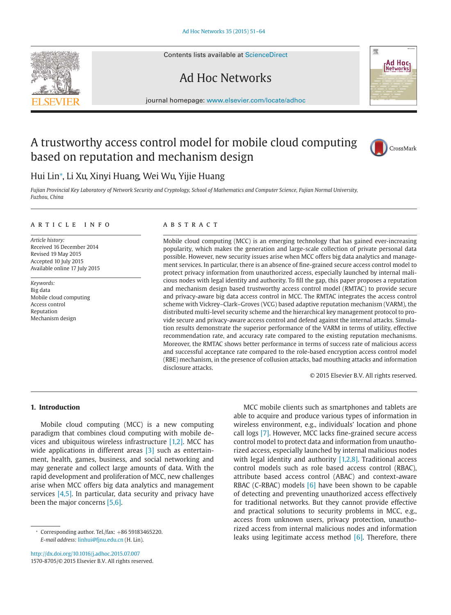Contents lists available at [ScienceDirect](http://www.ScienceDirect.com)

## Ad Hoc Networks

journal homepage: [www.elsevier.com/locate/adhoc](http://www.elsevier.com/locate/adhoc)

### A trustworthy access control model for mobile cloud computing based on reputation and mechanism design



嚮

Ad Hoc<sub>1</sub> Networks

### Hui Lin<sup>∗</sup> , Li Xu, Xinyi Huang, Wei Wu, Yijie Huang

*Fujian Provincial Key Laboratory of Network Security and Cryptology, School of Mathematics and Computer Science, Fujian Normal University, Fuzhou, China*

#### article info

*Article history:* Received 16 December 2014 Revised 19 May 2015 Accepted 10 July 2015 Available online 17 July 2015

*Keywords:* Big data Mobile cloud computing Access control Reputation Mechanism design

#### **ABSTRACT**

Mobile cloud computing (MCC) is an emerging technology that has gained ever-increasing popularity, which makes the generation and large-scale collection of private personal data possible. However, new security issues arise when MCC offers big data analytics and management services. In particular, there is an absence of fine-grained secure access control model to protect privacy information from unauthorized access, especially launched by internal malicious nodes with legal identity and authority. To fill the gap, this paper proposes a reputation and mechanism design based trustworthy access control model (RMTAC) to provide secure and privacy-aware big data access control in MCC. The RMTAC integrates the access control scheme with Vickrey–Clark–Groves (VCG) based adaptive reputation mechanism (VARM), the distributed multi-level security scheme and the hierarchical key management protocol to provide secure and privacy-aware access control and defend against the internal attacks. Simulation results demonstrate the superior performance of the VARM in terms of utility, effective recommendation rate, and accuracy rate compared to the existing reputation mechanisms. Moreover, the RMTAC shows better performance in terms of success rate of malicious access and successful acceptance rate compared to the role-based encryption access control model (RBE) mechanism, in the presence of collusion attacks, bad mouthing attacks and information disclosure attacks.

© 2015 Elsevier B.V. All rights reserved.

#### **1. Introduction**

Mobile cloud computing (MCC) is a new computing paradigm that combines cloud computing with mobile devices and ubiquitous wireless infrastructure [\[1,2\].](#page--1-0) MCC has wide applications in different areas [\[3\]](#page--1-0) such as entertainment, health, games, business, and social networking and may generate and collect large amounts of data. With the rapid development and proliferation of MCC, new challenges arise when MCC offers big data analytics and management services [\[4,5\].](#page--1-0) In particular, data security and privacy have been the major concerns [\[5,6\].](#page--1-0)

<http://dx.doi.org/10.1016/j.adhoc.2015.07.007> 1570-8705/© 2015 Elsevier B.V. All rights reserved.

MCC mobile clients such as smartphones and tablets are able to acquire and produce various types of information in wireless environment, e.g., individuals' location and phone call logs [\[7\].](#page--1-0) However, MCC lacks fine-grained secure access control model to protect data and information from unauthorized access, especially launched by internal malicious nodes with legal identity and authority  $[1,2,8]$ . Traditional access control models such as role based access control (RBAC), attribute based access control (ABAC) and context-aware RBAC (C-RBAC) models  $[6]$  have been shown to be capable of detecting and preventing unauthorized access effectively for traditional networks. But they cannot provide effective and practical solutions to security problems in MCC, e.g., access from unknown users, privacy protection, unauthorized access from internal malicious nodes and information leaks using legitimate access method  $[6]$ . Therefore, there



<sup>∗</sup> Corresponding author. Tel./fax: +86 59183465220. *E-mail address:* [linhui@fjnu.edu.cn](mailto:linhui@fjnu.edu.cn) (H. Lin).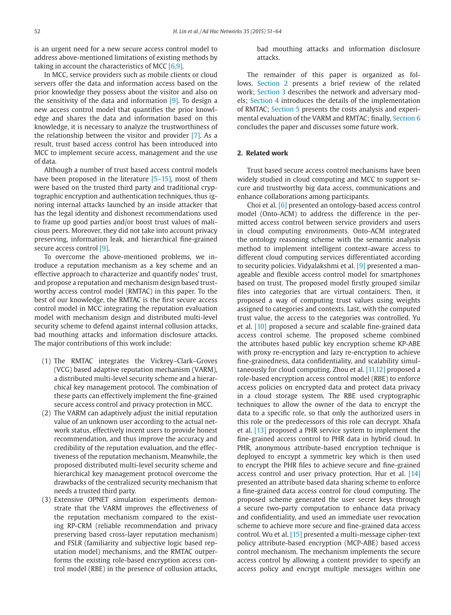is an urgent need for a new secure access control model to address above-mentioned limitations of existing methods by taking in account the characteristics of MCC [\[6,9\].](#page--1-0)

In MCC, service providers such as mobile clients or cloud servers offer the data and information access based on the prior knowledge they possess about the visitor and also on the sensitivity of the data and information [\[9\].](#page--1-0) To design a new access control model that quantifies the prior knowledge and shares the data and information based on this knowledge, it is necessary to analyze the trustworthiness of the relationship between the visitor and provider [\[7\].](#page--1-0) As a result, trust based access control has been introduced into MCC to implement secure access, management and the use of data.

Although a number of trust based access control models have been proposed in the literature [\[5–15\],](#page--1-0) most of them were based on the trusted third party and traditional cryptographic encryption and authentication techniques, thus ignoring internal attacks launched by an inside attacker that has the legal identity and dishonest recommendations used to frame up good parties and/or boost trust values of malicious peers. Moreover, they did not take into account privacy preserving, information leak, and hierarchical fine-grained secure access control [\[9\].](#page--1-0)

To overcome the above-mentioned problems, we introduce a reputation mechanism as a key scheme and an effective approach to characterize and quantify nodes' trust, and propose a reputation and mechanism design based trustworthy access control model (RMTAC) in this paper. To the best of our knowledge, the RMTAC is the first secure access control model in MCC integrating the reputation evaluation model with mechanism design and distributed multi-level security scheme to defend against internal collusion attacks, bad mouthing attacks and information disclosure attacks. The major contributions of this work include:

- (1) The RMTAC integrates the Vickrey–Clark–Groves (VCG) based adaptive reputation mechanism (VARM), a distributed multi-level security scheme and a hierarchical key management protocol. The combination of these parts can effectively implement the fine-grained secure access control and privacy protection in MCC.
- (2) The VARM can adaptively adjust the initial reputation value of an unknown user according to the actual network status, effectively incent users to provide honest recommendation, and thus improve the accuracy and credibility of the reputation evaluation, and the effectiveness of the reputation mechanism. Meanwhile, the proposed distributed multi-level security scheme and hierarchical key management protocol overcome the drawbacks of the centralized security mechanism that needs a trusted third party.
- (3) Extensive OPNET simulation experiments demonstrate that the VARM improves the effectiveness of the reputation mechanism compared to the existing RP-CRM (reliable recommendation and privacy preserving based cross-layer reputation mechanism) and FSLR (familiarity and subjective logic based reputation model) mechanisms, and the RMTAC outperforms the existing role-based encryption access control model (RBE) in the presence of collusion attacks,

bad mouthing attacks and information disclosure attacks.

The remainder of this paper is organized as follows. Section 2 presents a brief review of the related work; [Section 3](#page--1-0) describes the network and adversary models; [Section 4](#page--1-0) introduces the details of the implementation of RMTAC; [Section 5](#page--1-0) presents the costs analysis and experimental evaluation of the VARM and RMTAC; finally, [Section 6](#page--1-0) concludes the paper and discusses some future work.

#### **2. Related work**

Trust based secure access control mechanisms have been widely studied in cloud computing and MCC to support secure and trustworthy big data access, communications and enhance collaborations among participants.

Choi et al. [\[6\]](#page--1-0) presented an ontology-based access control model (Onto-ACM) to address the difference in the permitted access control between service providers and users in cloud computing environments. Onto-ACM integrated the ontology reasoning scheme with the semantic analysis method to implement intelligent context-aware access to different cloud computing services differentiated according to security policies. Vidyalakshmi et al. [\[9\]](#page--1-0) presented a manageable and flexible access control model for smartphones based on trust. The proposed model firstly grouped similar files into categories that are virtual containers. Then, it proposed a way of computing trust values using weights assigned to categories and contexts. Last, with the computed trust value, the access to the categories was controlled. Yu et al. [\[10\]](#page--1-0) proposed a secure and scalable fine-grained data access control scheme. The proposed scheme combined the attributes based public key encryption scheme KP-ABE with proxy re-encryption and lazy re-encryption to achieve fine-grainedness, data confidentiality, and scalability simultaneously for cloud computing. Zhou et al. [\[11,12\]](#page--1-0) proposed a role-based encryption access control model (RBE) to enforce access policies on encrypted data and protect data privacy in a cloud storage system. The RBE used cryptographic techniques to allow the owner of the data to encrypt the data to a specific role, so that only the authorized users in this role or the predecessors of this role can decrypt. Xhafa et al. [\[13\]](#page--1-0) proposed a PHR service system to implement the fine-grained access control to PHR data in hybrid cloud. In PHR, anonymous attribute-based encryption technique is deployed to encrypt a symmetric key which is then used to encrypt the PHR files to achieve secure and fine-grained access control and user privacy protection. Hur et al. [\[14\]](#page--1-0) presented an attribute based data sharing scheme to enforce a fine-grained data access control for cloud computing. The proposed scheme generated the user secret keys through a secure two-party computation to enhance data privacy and confidentiality, and used an immediate user revocation scheme to achieve more secure and fine-grained data access control. Wu et al. [\[15\]](#page--1-0) presented a multi-message cipher-text policy attribute-based encryption (MCP-ABE) based access control mechanism. The mechanism implements the secure access control by allowing a content provider to specify an access policy and encrypt multiple messages within one